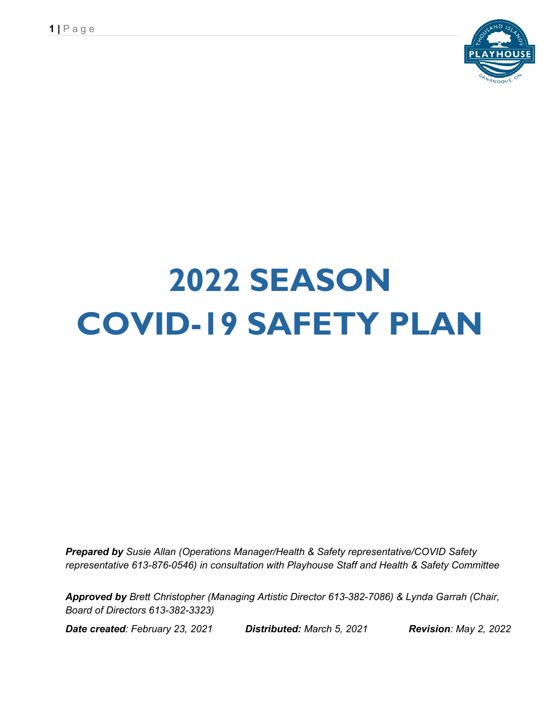

# **2022 SEASON COVID-19 SAFETY PLAN**

*Prepared by Susie Allan (Operations Manager/Health & Safety representative/COVID Safety representative 613-876-0546) in consultation with Playhouse Staff and Health & Safety Committee*

*Approved by Brett Christopher (Managing Artistic Director 613-382-7086) & Lynda Garrah (Chair, Board of Directors 613-382-3323)* 

*Date created: February 23, 2021 Distributed: March 5, 2021 Revision: May 2, 2022*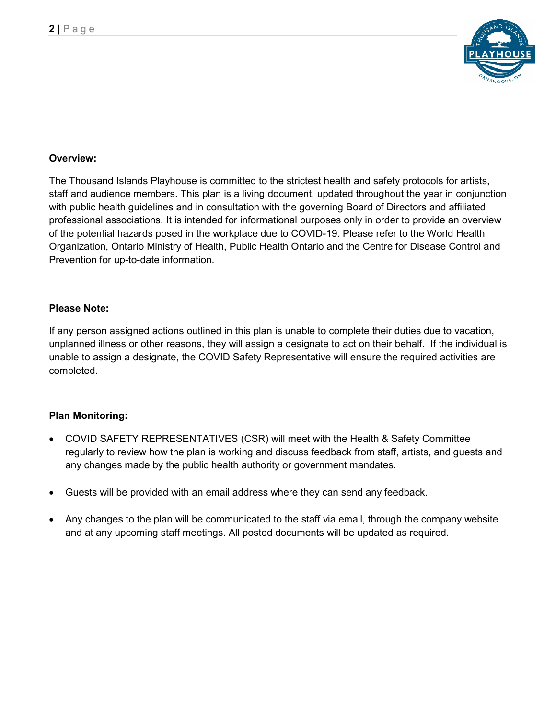

#### **Overview:**

The Thousand Islands Playhouse is committed to the strictest health and safety protocols for artists, staff and audience members. This plan is a living document, updated throughout the year in conjunction with public health guidelines and in consultation with the governing Board of Directors and affiliated professional associations. It is intended for informational purposes only in order to provide an overview of the potential hazards posed in the workplace due to COVID-19. Please refer to the World Health Organization, Ontario Ministry of Health, Public Health Ontario and the Centre for Disease Control and Prevention for up-to-date information.

#### **Please Note:**

If any person assigned actions outlined in this plan is unable to complete their duties due to vacation, unplanned illness or other reasons, they will assign a designate to act on their behalf. If the individual is unable to assign a designate, the COVID Safety Representative will ensure the required activities are completed.

#### **Plan Monitoring:**

- COVID SAFETY REPRESENTATIVES (CSR) will meet with the Health & Safety Committee regularly to review how the plan is working and discuss feedback from staff, artists, and guests and any changes made by the public health authority or government mandates.
- Guests will be provided with an email address where they can send any feedback.
- Any changes to the plan will be communicated to the staff via email, through the company website and at any upcoming staff meetings. All posted documents will be updated as required.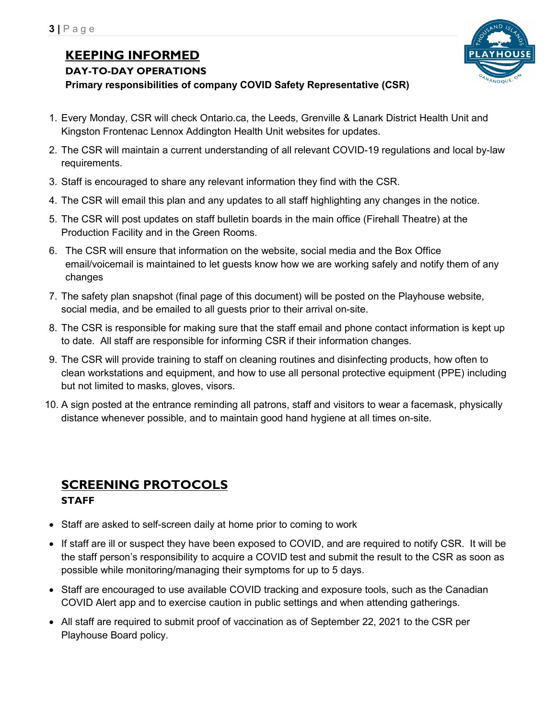# **KEEPING INFORMED**

**DAY-TO-DAY OPERATIONS**

**Primary responsibilities of company COVID Safety Representative (CSR)**

- 
- 1. Every Monday, CSR will check Ontario.ca, the Leeds, Grenville & Lanark District Health Unit and Kingston Frontenac Lennox Addington Health Unit websites for updates.
- 2. The CSR will maintain a current understanding of all relevant COVID-19 regulations and local by-law requirements.
- 3. Staff is encouraged to share any relevant information they find with the CSR.
- 4. The CSR will email this plan and any updates to all staff highlighting any changes in the notice.
- 5. The CSR will post updates on staff bulletin boards in the main office (Firehall Theatre) at the Production Facility and in the Green Rooms.
- 6. The CSR will ensure that information on the website, social media and the Box Office email/voicemail is maintained to let guests know how we are working safely and notify them of any changes
- 7. The safety plan snapshot (final page of this document) will be posted on the Playhouse website, social media, and be emailed to all guests prior to their arrival on-site.
- 8. The CSR is responsible for making sure that the staff email and phone contact information is kept up to date. All staff are responsible for informing CSR if their information changes.
- 9. The CSR will provide training to staff on cleaning routines and disinfecting products, how often to clean workstations and equipment, and how to use all personal protective equipment (PPE) including but not limited to masks, gloves, visors.
- 10. A sign posted at the entrance reminding all patrons, staff and visitors to wear a facemask, physically distance whenever possible, and to maintain good hand hygiene at all times on-site.

## **SCREENING PROTOCOLS STAFF**

- Staff are asked to self-screen daily at home prior to coming to work
- If staff are ill or suspect they have been exposed to COVID, and are required to notify CSR. It will be the staff person's responsibility to acquire a COVID test and submit the result to the CSR as soon as possible while monitoring/managing their symptoms for up to 5 days.
- Staff are encouraged to use available COVID tracking and exposure tools, such as the Canadian COVID Alert app and to exercise caution in public settings and when attending gatherings.
- All staff are required to submit proof of vaccination as of September 22, 2021 to the CSR per Playhouse Board policy.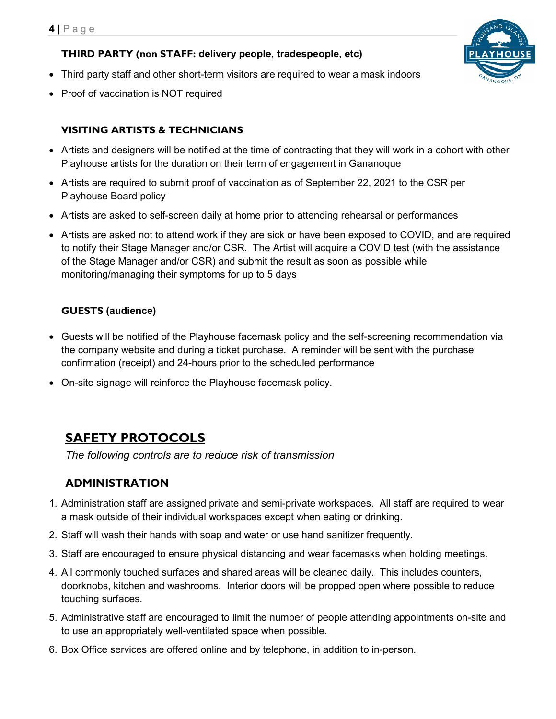#### **THIRD PARTY (non STAFF: delivery people, tradespeople, etc)**

- Third party staff and other short-term visitors are required to wear a mask indoors
- Proof of vaccination is NOT required

## **VISITING ARTISTS & TECHNICIANS**

- Artists and designers will be notified at the time of contracting that they will work in a cohort with other Playhouse artists for the duration on their term of engagement in Gananoque
- Artists are required to submit proof of vaccination as of September 22, 2021 to the CSR per Playhouse Board policy
- Artists are asked to self-screen daily at home prior to attending rehearsal or performances
- Artists are asked not to attend work if they are sick or have been exposed to COVID, and are required to notify their Stage Manager and/or CSR. The Artist will acquire a COVID test (with the assistance of the Stage Manager and/or CSR) and submit the result as soon as possible while monitoring/managing their symptoms for up to 5 days

### **GUESTS (audience)**

- Guests will be notified of the Playhouse facemask policy and the self-screening recommendation via the company website and during a ticket purchase. A reminder will be sent with the purchase confirmation (receipt) and 24-hours prior to the scheduled performance
- On-site signage will reinforce the Playhouse facemask policy.

# **SAFETY PROTOCOLS**

*The following controls are to reduce risk of transmission*

## **ADMINISTRATION**

- 1. Administration staff are assigned private and semi-private workspaces. All staff are required to wear a mask outside of their individual workspaces except when eating or drinking.
- 2. Staff will wash their hands with soap and water or use hand sanitizer frequently.
- 3. Staff are encouraged to ensure physical distancing and wear facemasks when holding meetings.
- 4. All commonly touched surfaces and shared areas will be cleaned daily. This includes counters, doorknobs, kitchen and washrooms. Interior doors will be propped open where possible to reduce touching surfaces.
- 5. Administrative staff are encouraged to limit the number of people attending appointments on-site and to use an appropriately well-ventilated space when possible.
- 6. Box Office services are offered online and by telephone, in addition to in-person.

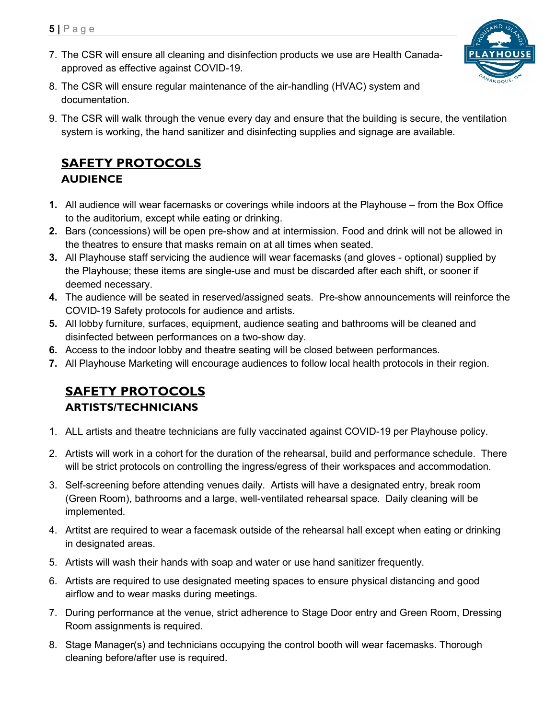- **5 |** Page
- 7. The CSR will ensure all cleaning and disinfection products we use are Health Canadaapproved as effective against COVID-19.



- 8. The CSR will ensure regular maintenance of the air-handling (HVAC) system and documentation.
- 9. The CSR will walk through the venue every day and ensure that the building is secure, the ventilation system is working, the hand sanitizer and disinfecting supplies and signage are available.

## **SAFETY PROTOCOLS AUDIENCE**

- **1.** All audience will wear facemasks or coverings while indoors at the Playhouse from the Box Office to the auditorium, except while eating or drinking.
- **2.** Bars (concessions) will be open pre-show and at intermission. Food and drink will not be allowed in the theatres to ensure that masks remain on at all times when seated.
- **3.** All Playhouse staff servicing the audience will wear facemasks (and gloves optional) supplied by the Playhouse; these items are single-use and must be discarded after each shift, or sooner if deemed necessary.
- **4.** The audience will be seated in reserved/assigned seats. Pre-show announcements will reinforce the COVID-19 Safety protocols for audience and artists.
- **5.** All lobby furniture, surfaces, equipment, audience seating and bathrooms will be cleaned and disinfected between performances on a two-show day.
- **6.** Access to the indoor lobby and theatre seating will be closed between performances.
- **7.** All Playhouse Marketing will encourage audiences to follow local health protocols in their region.

# **SAFETY PROTOCOLS ARTISTS/TECHNICIANS**

- 1. ALL artists and theatre technicians are fully vaccinated against COVID-19 per Playhouse policy.
- 2. Artists will work in a cohort for the duration of the rehearsal, build and performance schedule. There will be strict protocols on controlling the ingress/egress of their workspaces and accommodation.
- 3. Self-screening before attending venues daily. Artists will have a designated entry, break room (Green Room), bathrooms and a large, well-ventilated rehearsal space. Daily cleaning will be implemented.
- 4. Artitst are required to wear a facemask outside of the rehearsal hall except when eating or drinking in designated areas.
- 5. Artists will wash their hands with soap and water or use hand sanitizer frequently.
- 6. Artists are required to use designated meeting spaces to ensure physical distancing and good airflow and to wear masks during meetings.
- 7. During performance at the venue, strict adherence to Stage Door entry and Green Room, Dressing Room assignments is required.
- 8. Stage Manager(s) and technicians occupying the control booth will wear facemasks. Thorough cleaning before/after use is required.